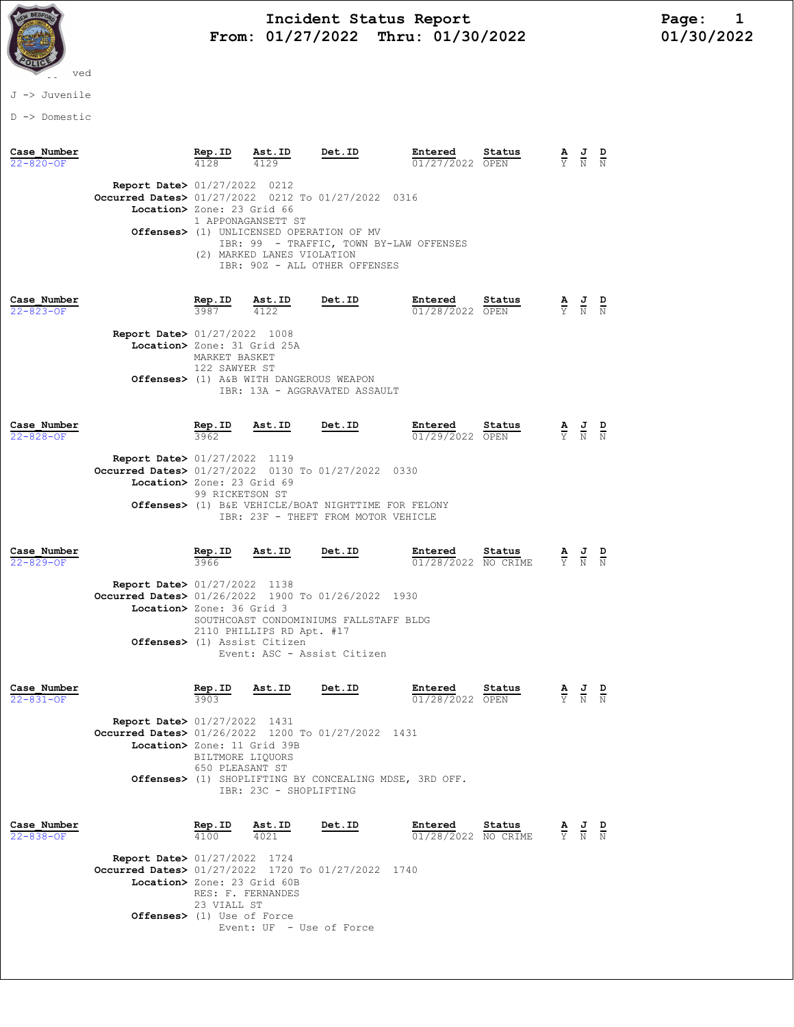

# Incident Status Report<br>01/27/2022 Thru: 01/30/2022 101/30/2022 From: 01/27/2022 Thru: 01/30/2022

### J -> Juvenile

D -> Domestic

| Case Number<br>$22 - 820 - OF$ |                                                                                                                             | Rep.ID                         | Ast.ID                                                         | Det.ID                                                      | Entered<br>01/27/2022 OPEN     | Status                        | $\frac{J}{N}$                                                                                   |  |
|--------------------------------|-----------------------------------------------------------------------------------------------------------------------------|--------------------------------|----------------------------------------------------------------|-------------------------------------------------------------|--------------------------------|-------------------------------|-------------------------------------------------------------------------------------------------|--|
|                                | <b>Report Date&gt; 01/27/2022 0212</b><br>Occurred Dates> 01/27/2022 0212 To 01/27/2022 0316<br>Location> Zone: 23 Grid 66  |                                | 1 APPONAGANSETT ST<br>Offenses> (1) UNLICENSED OPERATION OF MV | IBR: 99 - TRAFFIC, TOWN BY-LAW OFFENSES                     |                                |                               |                                                                                                 |  |
|                                |                                                                                                                             |                                | (2) MARKED LANES VIOLATION                                     | IBR: 90Z - ALL OTHER OFFENSES                               |                                |                               |                                                                                                 |  |
| Case Number<br>$22 - 823 - OF$ |                                                                                                                             | <b>Rep.ID</b><br>3987          | Ast.ID<br>4122                                                 | Det.ID                                                      | Entered<br>01/28/2022 OPEN     | Status                        | $\frac{J}{N}$                                                                                   |  |
|                                | <b>Report Date&gt; 01/27/2022 1008</b><br>Location> Zone: 31 Grid 25A                                                       | MARKET BASKET<br>122 SAWYER ST | Offenses> (1) A&B WITH DANGEROUS WEAPON                        |                                                             |                                |                               |                                                                                                 |  |
|                                |                                                                                                                             |                                |                                                                | IBR: 13A - AGGRAVATED ASSAULT                               |                                |                               |                                                                                                 |  |
| Case Number<br>$22 - 828 - OF$ |                                                                                                                             | $rac{\text{Rep. ID}}{3962}$    | Ast.ID                                                         | <b>Det.ID</b>                                               | Entered<br>01/29/2022 OPEN     | Status                        | $\frac{1}{N}$                                                                                   |  |
|                                | Report Date> 01/27/2022 1119<br>Occurred Dates> $01/27/2022$ 0130 To $01/27/2022$<br>Location> Zone: 23 Grid 69             | 99 RICKETSON ST                |                                                                | 0330<br>Offenses> (1) B&E VEHICLE/BOAT NIGHTTIME FOR FELONY |                                |                               |                                                                                                 |  |
|                                |                                                                                                                             |                                |                                                                | IBR: 23F - THEFT FROM MOTOR VEHICLE                         |                                |                               |                                                                                                 |  |
| Case Number<br>$22 - 829 - OF$ |                                                                                                                             | Rep.ID<br>3966                 | Ast.ID                                                         | Det.ID                                                      | Entered<br>01/28/2022 NO CRIME | Status                        | $\frac{\mathbf{A}}{\mathbf{Y}}$ $\frac{\mathbf{J}}{\mathbf{N}}$                                 |  |
|                                | Report Date> 01/27/2022 1138<br>Occurred Dates> 01/26/2022 1900 To 01/26/2022<br>Location> Zone: 36 Grid 3                  |                                |                                                                | 1930<br>SOUTHCOAST CONDOMINIUMS FALLSTAFF BLDG              |                                |                               |                                                                                                 |  |
|                                |                                                                                                                             |                                |                                                                |                                                             |                                |                               |                                                                                                 |  |
|                                |                                                                                                                             |                                | 2110 PHILLIPS RD Apt. #17<br>Offenses> (1) Assist Citizen      | Event: ASC - Assist Citizen                                 |                                |                               |                                                                                                 |  |
| Case Number<br>$22 - 831 - OF$ |                                                                                                                             | Rep.ID<br>3903                 | Ast.ID                                                         | <b>Det.ID</b>                                               | Entered<br>01/28/2022 OPEN     | Status                        | $\frac{1}{N}$                                                                                   |  |
|                                | <b>Report Date&gt; 01/27/2022 1431</b><br>Occurred Dates> 01/26/2022 1200 To 01/27/2022 1431<br>Location> Zone: 11 Grid 39B | BILTMORE LIQUORS               |                                                                |                                                             |                                |                               |                                                                                                 |  |
|                                |                                                                                                                             | 650 PLEASANT ST                | IBR: 23C - SHOPLIFTING                                         | Offenses> (1) SHOPLIFTING BY CONCEALING MDSE, 3RD OFF.      |                                |                               |                                                                                                 |  |
| Case Number<br>$22 - 838 - OF$ |                                                                                                                             | Rep.ID<br>4100                 | Ast.ID<br>4021                                                 | <b>Det.ID</b>                                               | Entered                        | Status<br>01/28/2022 NO CRIME | $\frac{\mathbf{A}}{\mathbf{Y}}$ $\frac{\mathbf{J}}{\mathbf{N}}$ $\frac{\mathbf{D}}{\mathbf{N}}$ |  |
|                                | <b>Report Date&gt; 01/27/2022 1724</b><br>Occurred Dates> 01/27/2022 1720 To 01/27/2022 1740<br>Location> Zone: 23 Grid 60B | 23 VIALL ST                    | RES: F. FERNANDES                                              |                                                             |                                |                               |                                                                                                 |  |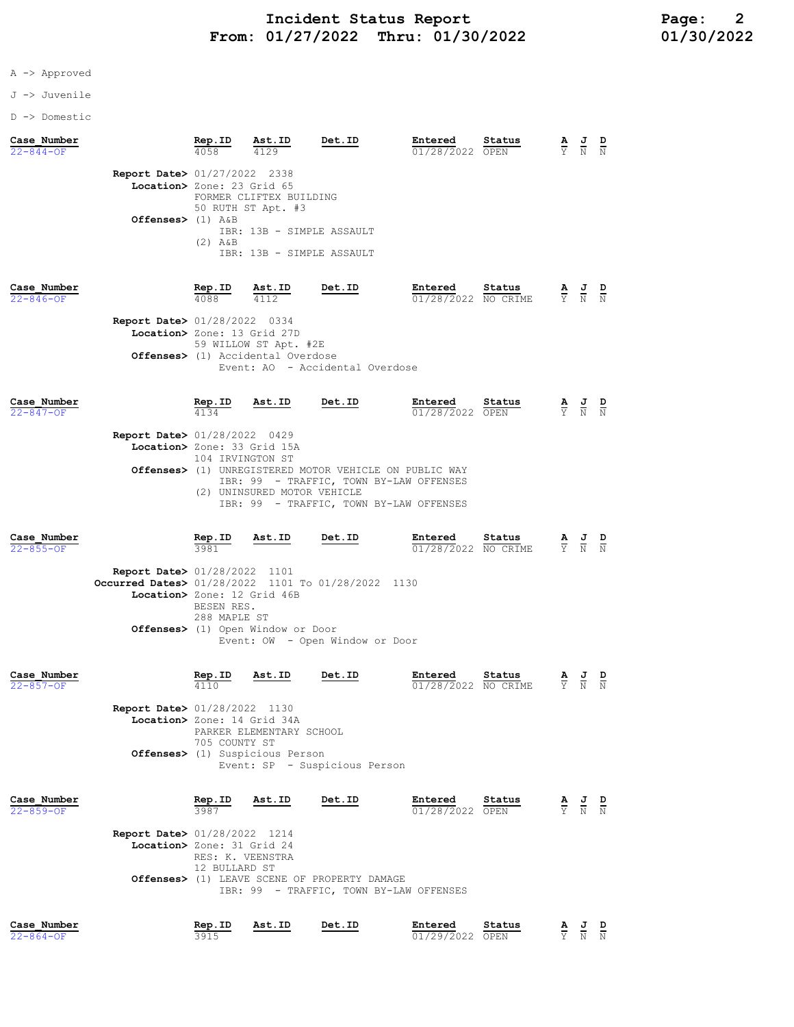## A -> Approved

#### J -> Juvenile

D -> Domestic

| Case Number<br>$22 - 844 - OF$ |                                                                                                                             | Rep.ID                                              | Ast.ID                                                                                                  | Det.ID                                                                                                                                                 | Entered<br>01/28/2022 OPEN     | Status         | $rac{\mathbf{A}}{\mathbf{Y}}$   | $\frac{d}{N}$               |                                 |
|--------------------------------|-----------------------------------------------------------------------------------------------------------------------------|-----------------------------------------------------|---------------------------------------------------------------------------------------------------------|--------------------------------------------------------------------------------------------------------------------------------------------------------|--------------------------------|----------------|---------------------------------|-----------------------------|---------------------------------|
|                                | Report Date> 01/27/2022 2338<br>Location> Zone: 23 Grid 65<br>Offenses> $(1)$ A&B                                           | $(2)$ $A\&B$                                        | FORMER CLIFTEX BUILDING<br>50 RUTH ST Apt. #3<br>IBR: 13B - SIMPLE ASSAULT<br>IBR: 13B - SIMPLE ASSAULT |                                                                                                                                                        |                                |                |                                 |                             |                                 |
| Case Number<br>$22 - 846 - OF$ | <b>Report Date&gt; 01/28/2022 0334</b><br>Location> Zone: 13 Grid 27D                                                       | Rep.ID<br>4088                                      | Ast.ID<br>4112<br>59 WILLOW ST Apt. #2E<br><b>Offenses&gt;</b> (1) Accidental Overdose                  | Det.ID<br>Event: AO - Accidental Overdose                                                                                                              | Entered<br>01/28/2022 NO CRIME | Status         | $\frac{\mathbf{A}}{\Upsilon}$   | $\frac{J}{N}$               |                                 |
| Case Number<br>$22 - 847 - OF$ | <b>Report Date&gt; 01/28/2022 0429</b><br>Location> Zone: 33 Grid 15A                                                       | Rep.ID<br>4134<br>104 IRVINGTON ST                  | Ast.ID<br>(2) UNINSURED MOTOR VEHICLE                                                                   | Det.ID<br>Offenses> (1) UNREGISTERED MOTOR VEHICLE ON PUBLIC WAY<br>IBR: 99 - TRAFFIC, TOWN BY-LAW OFFENSES<br>IBR: 99 - TRAFFIC, TOWN BY-LAW OFFENSES | Entered<br>01/28/2022 OPEN     | Status         | $\overline{Y}$                  | $\frac{1}{N}$               | $\frac{\mathbf{D}}{\mathbf{N}}$ |
| Case Number<br>$22 - 855 - 0F$ | <b>Report Date&gt; 01/28/2022 1101</b><br>Occurred Dates> 01/28/2022 1101 To 01/28/2022 1130<br>Location> Zone: 12 Grid 46B | Rep.ID<br>3981<br>BESEN RES.<br>288 MAPLE ST        | Ast.ID<br>Offenses> (1) Open Window or Door                                                             | Det.ID<br>Event: OW - Open Window or Door                                                                                                              | Entered<br>01/28/2022 NO CRIME | Status         | $\frac{\mathbf{A}}{\mathbf{Y}}$ | $\frac{J}{N}$ $\frac{D}{N}$ |                                 |
| Case Number<br>22-857-OF       | Report Date> 01/28/2022 1130<br>Location> Zone: 14 Grid 34A                                                                 | Rep.ID<br>4110<br>705 COUNTY ST                     | Ast.ID<br>PARKER ELEMENTARY SCHOOL<br>Offenses> (1) Suspicious Person                                   | Det.ID<br>Event: SP - Suspicious Person                                                                                                                | Entered<br>01/28/2022 NO CRIME | Status         | $\overline{Y}$                  | $\overline{\text{N}}$       | $\overline{N}$                  |
| Case Number<br>$22 - 859 - OF$ | <b>Report Date&gt; 01/28/2022 1214</b><br>Location> Zone: 31 Grid 24                                                        | Rep.ID<br>3987<br>RES: K. VEENSTRA<br>12 BULLARD ST | Ast.ID                                                                                                  | Det.ID<br><b>Offenses&gt;</b> (1) LEAVE SCENE OF PROPERTY DAMAGE<br>IBR: 99 - TRAFFIC, TOWN BY-LAW OFFENSES                                            | Entered<br>01/28/2022 OPEN     | Status         | $rac{\mathbf{A}}{\mathrm{Y}}$   | $\frac{1}{2}$ $\frac{1}{2}$ |                                 |
| Case Number<br>$22 - 864 - OF$ |                                                                                                                             | Rep.ID<br>3915                                      | Ast.ID                                                                                                  | Det.ID                                                                                                                                                 | Entered<br>01/29/2022          | Status<br>OPEN | $rac{\mathbf{A}}{\mathbf{Y}}$   | $\frac{1}{N}$               | $\frac{D}{N}$                   |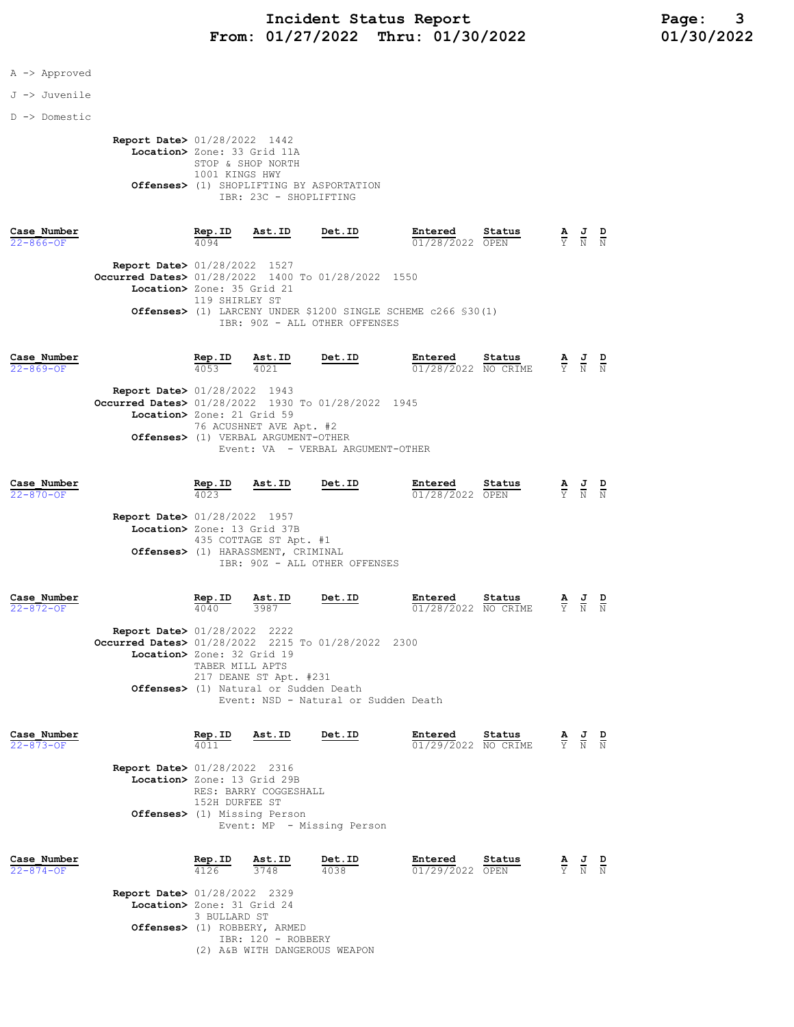A -> Approved

#### J -> Juvenile

D -> Domestic

 Report Date> 01/28/2022 1442 Location> Zone: 33 Grid 11A STOP & SHOP NORTH 1001 KINGS HWY Offenses> (1) SHOPLIFTING BY ASPORTATION IBR: 23C - SHOPLIFTING

| Case Number<br>$22 - 866 - 0F$ |                                                    | Rep.ID<br>4094 | Ast.ID | Det.ID                        | Entered<br>01/28/2022 OPEN                                              | Status | $\overline{\mathbf{A}}$ | 프<br>Y N N | D |
|--------------------------------|----------------------------------------------------|----------------|--------|-------------------------------|-------------------------------------------------------------------------|--------|-------------------------|------------|---|
|                                | <b>Report Date&gt; 01/28/2022 1527</b>             |                |        |                               |                                                                         |        |                         |            |   |
|                                | Occurred Dates> 01/28/2022 1400 To 01/28/2022 1550 |                |        |                               |                                                                         |        |                         |            |   |
|                                | Location> Zone: 35 Grid 21                         |                |        |                               |                                                                         |        |                         |            |   |
|                                |                                                    | 119 SHIRLEY ST |        |                               |                                                                         |        |                         |            |   |
|                                |                                                    |                |        |                               | <b>Offenses&gt;</b> (1) LARCENY UNDER \$1200 SINGLE SCHEME c266 \$30(1) |        |                         |            |   |
|                                |                                                    |                |        | IBR: 90Z - ALL OTHER OFFENSES |                                                                         |        |                         |            |   |
|                                |                                                    |                |        |                               |                                                                         |        |                         |            |   |

| Case Number     |                                                    | Rep.ID | Ast.ID                                        | Det.ID                            | Entered             | Status | A  | J | D |
|-----------------|----------------------------------------------------|--------|-----------------------------------------------|-----------------------------------|---------------------|--------|----|---|---|
| $22 - 869 - OF$ |                                                    | 4053   | 4021                                          |                                   | 01/28/2022 NO CRIME |        | Y. | N | N |
|                 | <b>Report Date&gt; 01/28/2022 1943</b>             |        |                                               |                                   |                     |        |    |   |   |
|                 | Occurred Dates> 01/28/2022 1930 To 01/28/2022 1945 |        |                                               |                                   |                     |        |    |   |   |
|                 | Location> Zone: 21 Grid 59                         |        |                                               |                                   |                     |        |    |   |   |
|                 |                                                    |        | 76 ACUSHNET AVE Apt. #2                       |                                   |                     |        |    |   |   |
|                 |                                                    |        | <b>Offenses&gt;</b> (1) VERBAL ARGUMENT-OTHER |                                   |                     |        |    |   |   |
|                 |                                                    |        |                                               | Event: VA - VERBAL ARGUMENT-OTHER |                     |        |    |   |   |
|                 |                                                    |        |                                               |                                   |                     |        |    |   |   |
| Case Number     |                                                    | Rep.ID | Ast.ID                                        | Det.ID                            | Entered             | Status | AJ |   | D |

| Cuse number<br>$22 - 870 - 0F$ |                                        | $-1$<br>4023 | $-100$                             | -----                         | --------<br>01/28/2022 OPEN | . ບ ບຜ ບ ຜ ວ | $\frac{1}{Y}$ $\frac{1}{N}$ | <u>.</u><br>$\overline{\mathbb{N}}$ |
|--------------------------------|----------------------------------------|--------------|------------------------------------|-------------------------------|-----------------------------|--------------|-----------------------------|-------------------------------------|
|                                | <b>Report Date&gt; 01/28/2022 1957</b> |              |                                    |                               |                             |              |                             |                                     |
|                                | Location> Zone: 13 Grid 37B            |              | 435 COTTAGE ST Apt. #1             |                               |                             |              |                             |                                     |
|                                |                                        |              | Offenses> (1) HARASSMENT, CRIMINAL | IBR: 90Z - ALL OTHER OFFENSES |                             |              |                             |                                     |
| Case Number                    |                                        | Rep.ID       | Ast.ID                             | Det.ID                        | Entered                     | Status       | AJ                          | D                                   |

|                 |                                                    |                 | -----                                                           |                                      |                                                     |  |  |
|-----------------|----------------------------------------------------|-----------------|-----------------------------------------------------------------|--------------------------------------|-----------------------------------------------------|--|--|
| $22 - 872 - 0F$ |                                                    | 4040            | 3987                                                            |                                      | $\overline{01/28/2022}$ NO CRIME $\overline{Y}$ N N |  |  |
|                 | <b>Report Date&gt; 01/28/2022 2222</b>             |                 |                                                                 |                                      |                                                     |  |  |
|                 | Occurred Dates> 01/28/2022 2215 To 01/28/2022 2300 |                 |                                                                 |                                      |                                                     |  |  |
|                 | Location> Zone: 32 Grid 19                         |                 |                                                                 |                                      |                                                     |  |  |
|                 |                                                    | TABER MILL APTS | 217 DEANE ST Apt. #231<br>Offenses> (1) Natural or Sudden Death | Event: NSD - Natural or Sudden Death |                                                     |  |  |

| Case Number<br>$22 - 873 - 0F$ |                                                                                                                                                                                | Rep.ID<br>4011        | Ast.ID         | Det.ID         | Entered<br>01/29/2022 NO CRIME | Status | $\frac{\mathbf{A}}{\mathbf{Y}}$ $\frac{\mathbf{J}}{\mathbf{N}}$                                 | D<br>N |
|--------------------------------|--------------------------------------------------------------------------------------------------------------------------------------------------------------------------------|-----------------------|----------------|----------------|--------------------------------|--------|-------------------------------------------------------------------------------------------------|--------|
|                                | <b>Report Date&gt; 01/28/2022 2316</b><br>Location> Zone: 13 Grid 29B<br>RES: BARRY COGGESHALL<br>152H DURFEE ST<br>Offenses> (1) Missing Person<br>Event: MP - Missing Person |                       |                |                |                                |        |                                                                                                 |        |
| Case Number<br>$22 - 874 - OF$ | <b>Report Date&gt; 01/28/2022 2329</b>                                                                                                                                         | <u>Rep.ID</u><br>4126 | Ast.ID<br>3748 | Det.ID<br>4038 | Entered<br>01/29/2022 OPEN     | Status | $\frac{\mathbf{A}}{\mathbf{Y}}$ $\frac{\mathbf{J}}{\mathbf{N}}$ $\frac{\mathbf{D}}{\mathbf{N}}$ |        |

| <b>Report Date&gt;</b> 01/28/2022 2329 |  |
|----------------------------------------|--|
| Location> Zone: 31 Grid 24             |  |
| 3 BULLARD ST                           |  |
| Offenses> (1) ROBBERY, ARMED           |  |
| TBR: 120 - ROBBERY                     |  |
| (2) A&B WITH DANGEROUS WEAPON          |  |
|                                        |  |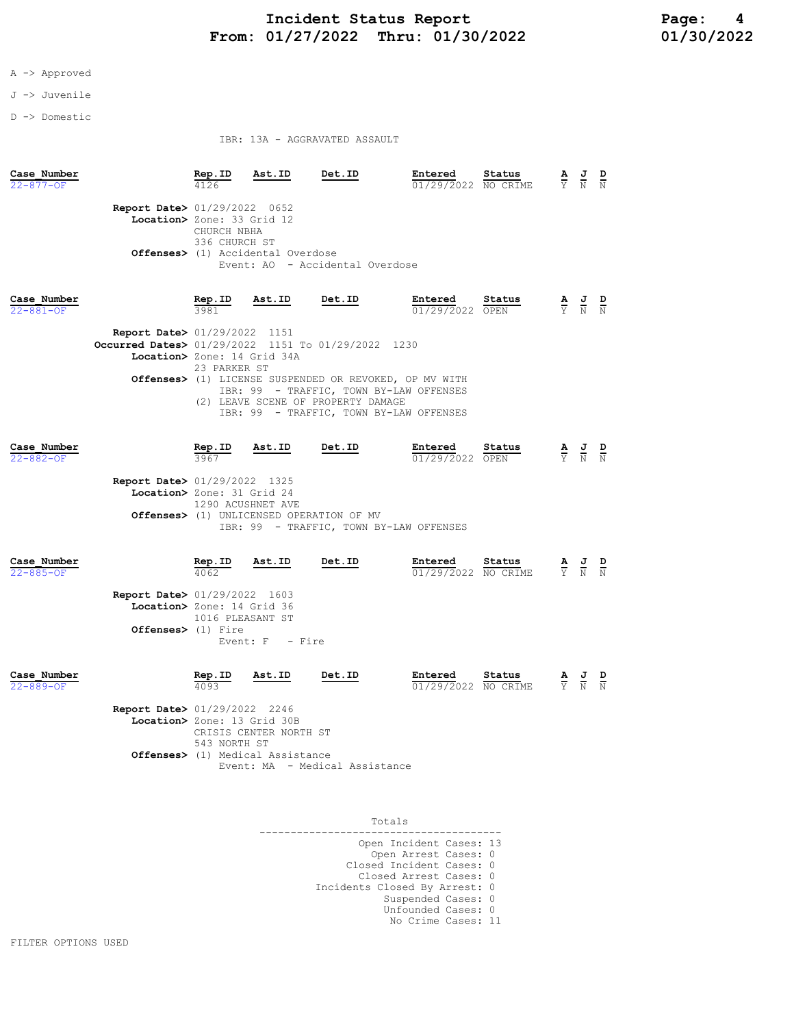## Incident Status Report<br>01/27/2022 Thru: 01/30/2022 01/30/2022 01/30/2022 From:  $01/27/2022$  Thru:  $01/30/2022$

### A -> Approved

J -> Juvenile

D -> Domestic

IBR: 13A - AGGRAVATED ASSAULT

| Case Number<br>$22 - 877 - OF$ |                                                                                                                             | Rep.ID                             | Ast.ID                                                                      | Det.ID                                             | Entered<br>01/29/2022 NO CRIME                                                                                                                         | Status | $\frac{\mathbf{A}}{\mathbf{Y}}$ $\frac{\mathbf{J}}{\mathbf{N}}$ $\frac{\mathbf{D}}{\mathbf{N}}$ |  |
|--------------------------------|-----------------------------------------------------------------------------------------------------------------------------|------------------------------------|-----------------------------------------------------------------------------|----------------------------------------------------|--------------------------------------------------------------------------------------------------------------------------------------------------------|--------|-------------------------------------------------------------------------------------------------|--|
|                                | <b>Report Date&gt; 01/29/2022 0652</b><br>Location> Zone: 33 Grid 12                                                        | CHURCH NBHA<br>336 CHURCH ST       | <b>Offenses&gt;</b> (1) Accidental Overdose                                 | Event: AO - Accidental Overdose                    |                                                                                                                                                        |        |                                                                                                 |  |
| Case Number<br>$22 - 881 - OF$ |                                                                                                                             | Rep.ID<br>3981                     | <u>Ast.ID</u>                                                               | Det.ID                                             | Entered<br>01/29/2022 OPEN                                                                                                                             | Status | $\frac{\mathbf{A}}{\mathbf{Y}}$ $\frac{\mathbf{J}}{\mathbf{N}}$ $\frac{\mathbf{D}}{\mathbf{N}}$ |  |
|                                | <b>Report Date&gt; 01/29/2022 1151</b><br>Occurred Dates> 01/29/2022 1151 To 01/29/2022 1230<br>Location> Zone: 14 Grid 34A | 23 PARKER ST                       |                                                                             | (2) LEAVE SCENE OF PROPERTY DAMAGE                 | <b>Offenses&gt;</b> (1) LICENSE SUSPENDED OR REVOKED, OP MV WITH<br>IBR: 99 - TRAFFIC, TOWN BY-LAW OFFENSES<br>IBR: 99 - TRAFFIC, TOWN BY-LAW OFFENSES |        |                                                                                                 |  |
| Case Number<br>$22 - 882 - 0F$ | <b>Report Date&gt; 01/29/2022 1325</b><br>Location> Zone: 31 Grid 24                                                        | Rep.ID<br>3967                     | <u>Ast.ID</u><br>1290 ACUSHNET AVE                                          | Det.ID<br>Offenses> (1) UNLICENSED OPERATION OF MV | Entered<br>01/29/2022 OPEN<br>IBR: 99 - TRAFFIC, TOWN BY-LAW OFFENSES                                                                                  | Status | $\frac{\mathbf{A}}{\mathbf{Y}}$ $\frac{\mathbf{J}}{\mathbf{N}}$                                 |  |
| Case Number<br>$22 - 885 - OF$ | <b>Report Date&gt; 01/29/2022 1603</b><br>Location> Zone: 14 Grid 36<br>Offenses> (1) Fire                                  | Rep.ID<br>4062<br>1016 PLEASANT ST | <u>Ast.ID</u><br>Event: $F -$ Fire                                          | Det.ID                                             | Entered<br>01/29/2022 NO CRIME                                                                                                                         | Status | $\frac{\mathbf{A}}{\mathbf{Y}}$ $\frac{\mathbf{J}}{\mathbf{N}}$ $\frac{\mathbf{D}}{\mathbf{N}}$ |  |
| Case Number<br>$22 - 889 - OF$ | <b>Report Date&gt; 01/29/2022 2246</b><br>Location> Zone: 13 Grid 30B                                                       | Rep.ID<br>4093<br>543 NORTH ST     | <u>Ast.ID</u><br>CRISIS CENTER NORTH ST<br>Offenses> (1) Medical Assistance | Det.ID<br>Event: MA - Medical Assistance           | Entered<br>01/29/2022 NO CRIME                                                                                                                         | Status | $\frac{\mathbf{A}}{\mathbf{Y}}$ $\frac{\mathbf{J}}{\mathbf{N}}$ $\frac{\mathbf{D}}{\mathbf{N}}$ |  |

| Totals                                                                      |
|-----------------------------------------------------------------------------|
| Open Incident Cases: 13<br>Open Arrest Cases: 0<br>Closed Incident Cases: 0 |
| Closed Arrest Cases: 0                                                      |
| Incidents Closed By Arrest: 0<br>Suspended Cases: 0                         |
| Unfounded Cases: 0<br>No Crime Cases: 11                                    |